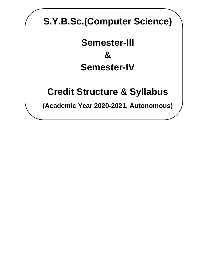# **S.Y.B.Sc.(Computer Science)**

# **Semester-III & Semester-IV**

# **Credit Structure & Syllabus**

**(Academic Year 2020-2021, Autonomous)**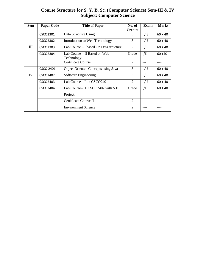## **Course Structure for S. Y. B. Sc. (Computer Science) Sem-III & IV Subject: Computer Science**

| <b>Sem</b> | <b>Paper Code</b> | <b>Title of Paper</b>                      | No. of<br><b>Credits</b> | Exam | <b>Marks</b> |
|------------|-------------------|--------------------------------------------|--------------------------|------|--------------|
| Ш          | CSCO2301          | Data Structure Using C                     | 3                        | 1/E  | $60 + 40$    |
|            | CSCO2302          | Introduction to Web Technology             | 3                        | 1/E  | $60 + 40$    |
|            | CSCO2303          | Lab Course – I based On Data structure     | 2                        | 1/E  | $60 + 40$    |
|            | CSCO2304          | Lab Course – II Based on Web<br>Technology | Grade                    | I/E  | $60 + 40$    |
|            |                   | Certificate Course I                       | $\overline{2}$           | ---  |              |
| IV         | <b>CSCO 2401</b>  | <b>Object Oriented Concepts using Java</b> | 3                        | 1/E  | $60 + 40$    |
|            | CSCO2402          | Software Engineering                       | 3                        | 1/E  | $60 + 40$    |
|            | CSCO2403          | Lab Course $-$ I on CSCO2401               | 2                        | 1/E  | $60 + 40$    |
|            | CSCO2404          | Lab Course II $\text{CSCO}2402$ with S.E.  | Grade                    | I/E  | $60 + 40$    |
|            |                   | Project.                                   |                          |      |              |
|            |                   | Certificate Course II                      | $\overline{2}$           |      |              |
|            |                   | <b>Environment Science</b>                 | $\overline{2}$           |      |              |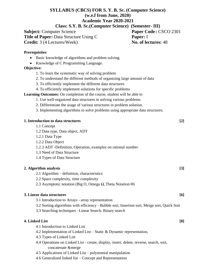# **SYLLABUS (CBCS) FOR S. Y. B. Sc. (Computer Science) (w.e.f from June, 2020) Academic Year 2020-2021**

**Class: S.Y. B. Sc.(Computer Science) (Semester- III)**

**Subject:** Computer Science **Paper Code:** CSCO 2301 **Title of Paper:** Data Structure Using C **Paper:** I **Credit:** 3 (4 Lectures/Week) **No. of lectures:** 48

#### **Prerequisites**:

- Basic knowledge of algorithms and problem solving.
- Knowledge of C Programming Language.

#### **Objective:**

- 1. To learn the systematic way of solving problem
- 2. To understand the different methods of organizing large amount of data
- 3. To efficiently implement the different data structures
- 4. To efficiently implement solutions for specific problems

**Learning Outcomes:** On completion of the course, student will be able to

- 1. Use well-organized data structures in solving various problems.
- 2. Differentiate the usage of various structures in problem solution.
- 3. Implementing algorithms to solve problems using appropriate data structures.

#### **1. Introduction to data structures [2]**

- 1.1 Concept
- 1.2 Data type, Data object, ADT
- 1.2.1 Data Type
- 1.2.2 Data Object
- 1.2.3 ADT -Definition, Operation, examples on rational number
- 1.3 Need of Data Structure
- 1.4 Types of Data Structure

#### **2. Algorithm analysis [3]**

- 2.1 Algorithm definition, characteristics
- 2.2 Space complexity, time complexity
- 2.3 Asymptotic notation (Big O, Omega Ω, Theta Notation Θ)

#### **3. Linear data structures [6]**

- 3.1 Introduction to Arrays array representation
- 3.2 Sorting algorithms with efficiency Bubble sort, Insertion sort, Merge sort, Quick Sort
- 3.3 Searching techniques –Linear Search, Binary search

#### **4. Linked List [8]**

- 4.1 Introduction to Linked List
- 4.2 Implementation of Linked List Static & Dynamic representation,
- 4.3 Types of Linked List
- 4.4 Operations on Linked List create, display, insert, delete, reverse, search, sort, concatenate &merge
- 4.5 Applications of Linked List polynomial manipulation
- 4.6 Generalized linked list Concept and Representation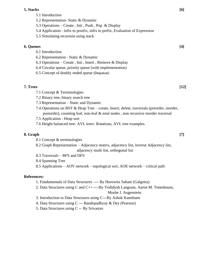#### **5. Stacks [6]**

|                  | 5.1 Introduction                                                                                                              |                    |
|------------------|-------------------------------------------------------------------------------------------------------------------------------|--------------------|
|                  | 5.2 Representation- Static & Dynamic                                                                                          |                    |
|                  | 5.3 Operations – Create, Init, Push, Pop & Display                                                                            |                    |
|                  | 5.4 Application - infix to postfix, infix to prefix, Evaluation of Expression                                                 |                    |
|                  | 5.5 Simulating recursion using stack                                                                                          |                    |
| <b>6. Queues</b> |                                                                                                                               | [4]                |
|                  | 6.1 Introduction                                                                                                              |                    |
|                  | 6.2 Representation - Static & Dynamic                                                                                         |                    |
|                  | 6.3 Operations – Create, Init, Insert, Remove & Display                                                                       |                    |
|                  | 6.4 Circular queue, priority queue (with implementation)                                                                      |                    |
|                  | 6.5 Concept of doubly ended queue (Dequeue)                                                                                   |                    |
| 7. Trees         |                                                                                                                               | $\lceil 12 \rceil$ |
|                  | 7.1 Concept & Terminologies                                                                                                   |                    |
|                  | 7.2 Binary tree, binary search tree                                                                                           |                    |
|                  | 7.3 Representation – Static and Dynamic                                                                                       |                    |
|                  | 7.4 Operations on BST & Heap Tree – create, Insert, delete, traversals (preorder, inorder,                                    |                    |
|                  | postorder), counting leaf, non-leaf & total nodes, non recursive inorder traversal                                            |                    |
|                  | 7.5 Application - Heap sort                                                                                                   |                    |
|                  | 7.6 Height balanced tree- AVL trees- Rotations, AVL tree examples.                                                            |                    |
| 8. Graph         |                                                                                                                               | $[7]$              |
|                  | 8.1 Concept & terminologies                                                                                                   |                    |
|                  | 8.2 Graph Representation - Adjacency matrix, adjacency list, inverse Adjacency list,<br>adjacency multi list, orthogonal list |                    |
|                  |                                                                                                                               |                    |

- 8.3 Traversals BFS and DFS
- 8.4 Spanning Tree

8.5 Applications – AOV network – topological sort, AOE network – critical path

#### **References:**

- 1. Fundamentals of Data Structures ---- By Horowitz Sahani (Galgotia)
- 2. Data Structures using C and C++ ----By Yedidyah Langsam, Aaron M. Tenenbaum,

Moshe J. Augenstein

- 3. Introduction to Data Structures using C---By Ashok Kamthane
- 4. Data Structures using C --- Bandopadhyay & Dey (Pearson)
- 5. Data Structures using C -- By Srivastav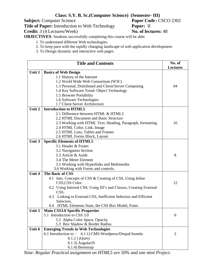# **Class: S.Y. B. Sc.(Computer Science) (Semester- III)**

**Subject:** Computer Science **Paper Code: Paper Code: Paper:** Introduction to Web Technology **Paper:** II **Title of Paper:** Introduction to Web Technology **Paper:** II<br> **Credit:** 3 (4 Lectures/Week) **Paper: No. of lectures:** 48

**Credit:** 3 (4 Lectures/Week)

**OBJECTIVES**: Students successfully completing this course will be able:

1. To understand different Web technologies.

- 2. To keep pace with the rapidly changing landscape of web application development.
- 3. To Design dynamic and interactive web pages.

| <b>Title and Contents</b> |                                                                   | No. of          |
|---------------------------|-------------------------------------------------------------------|-----------------|
|                           |                                                                   | <b>Lectures</b> |
| Unit 1                    | <b>Basics of Web Design</b>                                       |                 |
|                           | 1.1 History of the Internet                                       |                 |
|                           | 1.2 World Wide Web Consortium (W3C)                               |                 |
|                           | 1.3 Personal, Distributed and Client/Server Computing             | 04              |
|                           | 1.4 Key Software Trend: Object Technology                         |                 |
|                           | 1.5 Browser Portability                                           |                 |
|                           | 1.6 Software Technologies                                         |                 |
|                           | 1.7 Client Server Architecture                                    |                 |
| Unit 2                    | <b>Introduction to HTML5</b>                                      |                 |
|                           | 2.1 Difference between HTML & HTML5                               |                 |
|                           | 2.2 HTML Document and Basic Structure                             |                 |
|                           | 2.3 Working with HTML Text, Heading, Paragraph, formatting        | 16              |
|                           | 2.4 HTML Color, Link, Image                                       |                 |
|                           | 2.5 HTML Lists, Tables and Frames                                 |                 |
|                           | 2.6 HTML Forms Block, Layout                                      |                 |
| Unit 3                    | <b>Specific Elements of HTML5</b>                                 |                 |
|                           | 3.1 Header & Footer                                               |                 |
|                           | 3.2 Navigation Section                                            |                 |
|                           | 3.3 Article & Aside                                               | 8               |
|                           | 3.4 The Meter Element                                             |                 |
|                           | 3.5 Working with Hyperlinks and Multimedia                        |                 |
|                           | 3.6 Working with Forms and controls.                              |                 |
| <b>Unit 4</b>             | The Basic of CSS                                                  |                 |
|                           | 4.1 Into. Concepts of CSS & Creating of CSS, Using Inline         |                 |
|                           | CSS,CSS Color                                                     | 12              |
|                           | 4.2 Using Internal CSS, Using ID's and Classes, Creating External |                 |
|                           | CSS.                                                              |                 |
|                           | 4.3 Linking to External CSS, Inefficient Selectors and Efficient  |                 |
|                           | Selectors.                                                        |                 |
|                           | 4.4 HTML Elements State, the CSS Box Model, Fonts                 |                 |
| Unit 5                    | <b>Main CSS3.0 Specific Properties</b>                            |                 |
|                           | 5.1 Introduction to CSS 3.0                                       | 6               |
|                           | 5.2 Alpha Color Space, Opacity                                    |                 |
|                           | 5.3 Box Shadow & Border Radius                                    |                 |
| Unit 6                    | <b>Emerging Trends in Web Technologies</b>                        |                 |
|                           | 6.1 Introduction to – 6.1.1) CMS-Wordpress/Drupal/Joomla          | $\overline{2}$  |
|                           | $6.1.2$ ) jQuery                                                  |                 |
|                           | 6.1.3) AngularJS                                                  |                 |
|                           | 6.1.4) Bootstrap                                                  |                 |

*Note: Regular Practical assignment on HTML5 are 50% and one mini Project.*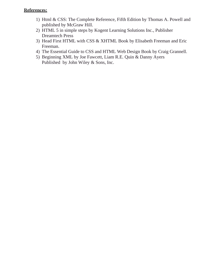## **References:**

- 1) Html & CSS: The Complete Reference, Fifth Edition by Thomas A. Powell and published by McGraw Hill.
- 2) HTML 5 in simple steps by Kogent Learning Solutions Inc., Publisher Dreamtech Press
- 3) Head First HTML with CSS & XHTML Book by Elisabeth Freeman and Eric Freeman.
- 4) The Essential Guide to CSS and HTML Web Design Book by Craig Grannell.
- 5) Beginning XML by Joe Fawcett, Liam R.E. Quin & Danny Ayers Published by John Wiley & Sons, Inc.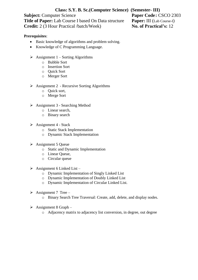# **Class: S.Y. B. Sc.(Computer Science) (Semester- III)**

**Subject:** Computer Science<br> **Title of Paper:** Lab Course I based On Data structure<br> **Paper:** III (Lab Course-I) **Title of Paper:** Lab Course I based On Data structure **Credit:** 2 (3 Hour Practical /batch/Week) **No. of Practical's:** 12

#### **Prerequisites**:

- Basic knowledge of algorithms and problem solving.
- Knowledge of C Programming Language.
- $\triangleright$  Assignment 1 Sorting Algorithms
	- o Bubble Sort
	- o Insertion Sort
	- o Quick Sort
	- o Merger Sort
- ➢ Assignment 2 Recursive Sorting Algorithms
	- o Quick sort,
	- o Merge Sort
- $\triangleright$  Assignment 3 Searching Method
	- o Linear search,
	- o Binary search
- $\triangleright$  Assignment 4 Stack
	- o Static Stack Implementation
	- o Dynamic Stack Implementation
- ➢ Assignment 5 Queue
	- o Static and Dynamic Implementation
	- o Linear Queue,
	- o Circular queue
- $\triangleright$  Assignment 6 Linked List
	- o Dynamic Implementation of Singly Linked List
	- o Dynamic Implementation of Doubly Linked List
	- o Dynamic Implementation of Circular Linked List.
- $\triangleright$  Assignment 7 Tree
	- o Binary Search Tree Traversal: Create, add, delete, and display nodes.
- $\triangleright$  Assignment 8 Graph
	- o Adjacency matrix to adjacency list conversion, in degree, out degree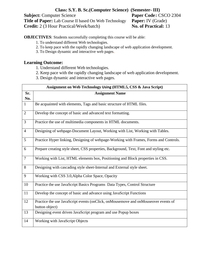#### **Class: S.Y. B. Sc.(Computer Science) (Semester- III) Subject:** Computer Science<br> **Title of Paper:** Lab Course II based On Web Technology Paper: IV (Grade) **Title of Paper:** Lab Course II based On Web Technology Paper: IV (Grade)<br> **Credit:** 2 (3 Hour Practical/Week/batch) No. of Practical: 13 **Credit:** 2 (3 Hour Practical/Week/batch)

**OBJECTIVES**: Students successfully completing this course will be able:

- 1. To understand different Web technologies.
- 2. To keep pace with the rapidly changing landscape of web application development.
- 3. To Design dynamic and interactive web pages.

#### **Learning Outcome:**

- 1. Understand different Web technologies.
- 2. Keep pace with the rapidly changing landscape of web application development.
- 3. Design dynamic and interactive web pages.

|                | Assignment on Web Technology Using (HTML5, CSS & Java Script)                                        |  |  |
|----------------|------------------------------------------------------------------------------------------------------|--|--|
| Sr.<br>No.     | <b>Assignment Name</b>                                                                               |  |  |
| $\mathbf{1}$   | Be acquainted with elements, Tags and basic structure of HTML files.                                 |  |  |
| $\overline{2}$ | Develop the concept of basic and advanced text formatting.                                           |  |  |
| 3              | Practice the use of multimedia components in HTML documents.                                         |  |  |
| $\overline{4}$ | Designing of webpage-Document Layout, Working with List, Working with Tables.                        |  |  |
| 5              | Practice Hyper linking, Designing of webpage-Working with Frames, Forms and Controls.                |  |  |
| 6              | Prepare creating style sheet, CSS properties, Background, Text, Font and styling etc.                |  |  |
| $\overline{7}$ | Working with List, HTML elements box, Positioning and Block properties in CSS.                       |  |  |
| 8              | Designing with cascading style sheet-Internal and External style sheet.                              |  |  |
| 9              | Working with CSS 3.0, Alpha Color Space, Opacity                                                     |  |  |
| 10             | Practice the use JavaScript Basics Programs Data Types, Control Structure                            |  |  |
| 11             | Develop the concept of basic and advance using JavaScript Functions                                  |  |  |
| 12             | Practice the use JavaScript events (onClick, onMousemove and onMouseover events of<br>button object) |  |  |
| 13             | Designing event driven JavaScript program and use Popup boxes                                        |  |  |
| 14             | Working with JavaScript Objects                                                                      |  |  |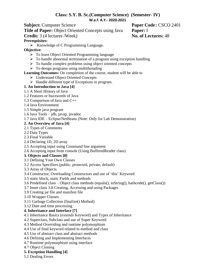#### **Class: S.Y. B. Sc.(Computer Science) (Semester- IV) W.e.f. A.Y.- 2020-2021**

**Subject:** Computer Science **Paper** Code: CSCO 2401

**Title of Paper:** Object Oriented Concepts using Java **Paper:** I

**Credit:** 3 (4 lectures /Week) **No. of Lectures:** 48

#### **Prerequisites:**

➢ Knowledge of C Programming Language.

**Objective:**

- ➢ To learn Object Oriented Programming language
- $\triangleright$  To handle abnormal termination of a program using exception handling
- ➢ To handle complex problems using object oriented concepts
- $\triangleright$  To design programs using multithreading

#### **Learning Outcomes:** On completion of the course, student will be able to

- ➢ Understand Object Oriented Concepts
- ➢ Handle different type of Exceptions in program.
- **1. An Introduction to Java [4]**
- 1.1 A Short History of Java
- 1.2 Features or buzzwords of Java
- 1.3 Comparison of Java and C++
- 1.4 Java Environment
- 1.5 Simple java program
- 1.6 Java Tools jdb, javap, javadoc
- 1.7 Java IDE Eclipse/NetBeans (Note: Only for Lab Demonstration)

## **2. An Overview of Java [4]**

- 2.1 Types of Comments
- 2.2 Data Types
- 2.3 Final Variable
- 2.4 Declaring 1D, 2D array
- 2.5 Accepting input using Command line argument
- 2.6 Accepting input from console (Using BufferedReader class)

#### **3. Objects and Classes [8]**

- 3.1 Defining Your Own Classes
- 3.2 Access Specifiers (public, protected, private, default)
- 3.3 Array of Objects
- 3.4 Constructor, Overloading Constructors and use of 'this' Keyword
- 3.5 static block, static Fields and methods
- 3.6 Predefined class Object class methods (equals(), toString(), hashcode(), getClass())
- 3.7 Inner class 3.8 Creating, Accessing and using Packages
- 3.9 Creating jar file and manifest file
- 3.10 Wrapper Classes
- 3.11 Garbage Collection (finalize() Method)
- 3.12 Date and time processing

#### **4. Inheritance and Interface [7]**

- 4.1 Inheritance Basics (extends Keyword) and Types of Inheritance
- 4.2 Superclass, Subclass and use of Super Keyword
- 4.3 Method Overriding and runtime polymorphism
- 4.4 Use of final keyword related to method and class
- 4.5 Use of abstract class and abstract methods
- 4.6 Defining and Implementing Interfaces
- 4.7 Runtime polymorphism using interface
- 4.7 Object Cloning
- **5. Exception Handling [4]**
- 5.1 Dealing Errors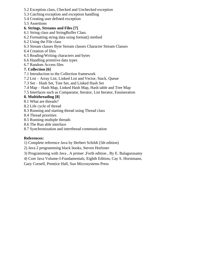- 5.2 Exception class, Checked and Unchecked exception
- 5.3 Catching exception and exception handling
- 5.4 Creating user defined exception
- 5.5 Assertions

#### **6. Strings, Streams and Files [7]**

- 6.1 String class and StringBuffer Class
- 6.2 Formatting string data using format() method
- 6.2 Using the File class
- 6.3 Stream classes Byte Stream classes Character Stream Classes
- 6.4 Creation of files
- 6.5 Reading/Writing characters and bytes
- 6.6 Handling primitive data types
- 6.7 Random Access files

#### **7. Collection [6]**

- 7.1 Introduction to the Collection framework
- 7.2 List Array List, Linked List and Vector, Stack, Queue
- 7.3 Set Hash Set, Tree Set, and Linked Hash Set
- 7.4 Map Hash Map, Linked Hash Map, Hash table and Tree Map
- 7.5 Interfaces such as Comparator, Iterator, List Iterator, Enumeration

#### **8. Multithreading [8]**

- 8.1 What are threads?
- 8.2 Life cycle of thread
- 8.3 Running and starting thread using Thread class
- 8.4 Thread priorities
- 8.5 Running multiple threads
- 8.6 The Run able interface
- 8.7 Synchronization and interthread communication

#### **References:**

- 1) Complete reference Java by Herbert Schildt (5th edition)
- 2) Java 2 programming black books, Steven Horlzner
- 3) Programming with Java , A primer ,Forth edition , By E. Balagurusamy
- 4) Core Java Volume-I-Fundamentals, Eighth Edition, Cay S. Horstmann,
- Gary Cornell, Prentice Hall, Sun Microsystems Press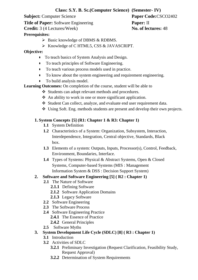## **Class: S.Y. B. Sc.(Computer Science) (Semester- IV)**

**Subject:** Computer Science **Paper Code:**CSCO2402

**Title of Paper:** Software Engineering **Paper:** II

**Credit:** 3 (4 Lectures/Week) **No. of lectures:** 48

## **Prerequisites:**

- $\triangleright$  Basic knowledge of DBMS & RDBMS.
- ➢ Knowledge of C HTML5, CSS & JAVASCRIPT.

## **Objective:**

- To teach basics of System Analysis and Design.
- To teach principles of Software Engineering.
- To teach various process models used in practice.
- To know about the system engineering and requirement engineering.
- To build analysis model.

## **Learning Outcomes:** On completion of the course, student will be able to

- ❖ Students can adopt relevant methods and procedures.
- ❖ An ability to work in one or more significant application.
- ❖ Student Can collect, analyze, and evaluate end user requirement data.
- ❖ Using Soft. Eng. methods students are present and develop their own projects.

# **1. System Concepts [5] (R1: Chapter 1 & R3: Chapter 1)**

- **1.1** System Definition
- **1.2** Characteristics of a System: Organization, Subsystem, Interaction, Interdependence, Integration, Central objective, Standards, Black box.
- **1.3** Elements of a system: Outputs, Inputs, Processor(s), Control, Feedback, Environment, Boundaries, Interface.
- **1.4** Types of Systems: Physical & Abstract Systems, Open & Closed Systems, Computer-based Systems (MIS : Management Information System & DSS : Decision Support System)

# **2. Software and Software Engineering [5] ( R2 : Chapter 1)**

- **2.1** The Nature of Software
	- **2.1.1** Defining Software
	- **2.1.2** Software Application Domains
	- **2.1.3** Legacy Software
- **2.2** Software Engineering
- **2.3** The Software Process
- **2.4** Software Engineering Practice
	- **2.4.1** The Essence of Practice
	- **2.4.2** General Principles
- **2.5** Software Myths

# **3. System Development Life Cycle (SDLC) [8] ( R3 : Chapter 1)**

- **3.1** Introduction
	- **3.2** Activities of SDLC
		- **3.2.1** Preliminary Investigation (Request Clarification, Feasibility Study, Request Approval)
		- **3.2.2** Determination of System Requirements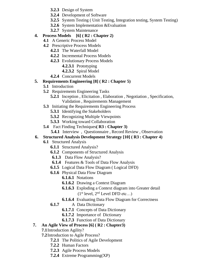- **3.2.3** Design of System
- **3.2.4** Development of Software
- **3.2.5** System Testing ( Unit Testing, Integration testing, System Testing)
- **3.2.6** System Implementation &Evaluation
- **3.2.7** System Maintenance

# **4. Process Models [6] ( R2 : Chapter 2)**

- **4.1** A Generic Process Model
- **4.2** Prescriptive Process Models
	- **4.2.1** The Waterfall Model
	- **4.2.2** Incremental Process Models
	- **4.2.3** Evolutionary Process Models
		- **4.2.3.1** Prototyping
		- **4.2.3.2** Spiral Model
	- **4.2.4** Concurrent Models

## **5. Requirements Engineering [8] ( R2 : Chapter 5)**

- **5.1** Introduction
- **5.2** Requirements Engineering Tasks
	- **5.2.1** Inception , Elicitation , Elaboration , Negotiation , Specification, Validation , Requirements Management
- **5.3** Initiating the Requirements Engineering Process
	- **5.3.1** Identifying the Stakeholders
	- **5.3.2** Recognizing Multiple Viewpoints
	- **5.3.3** Working toward Collaboration
- **5.4** Fact Finding Techniques**( R3 : Chapter 3)**
	- **5.4.1** Interview, Questionnaire, Record Review, Observation

## **6. Structured Analysis Development Strategy [10] ( R3 : Chapter 4)**

#### **6.1** Structured Analysis

- **6.1.1** Structured Analysis?
- **6.1.2** Components of Structured Analysis
- **6.1.3** Data Flow Analysis?
- **6.1.4** Features & Tools of Data Flow Analysis
- **6.1.5** Logical Data Flow Diagram ( Logical DFD)
- **6.1.6** Physical Data Flow Diagram
	- **6.1.6.1** Notations
	- **6.1.6.2** Drawing a Context Diagram
	- **6.1.6.3** Exploding a Context diagram into Greater detail  $(1<sup>st</sup> level, 2<sup>nd</sup> Level DFD etc...)$
	- **6.1.6.4** Evaluating Data Flow Diagram for Correctness
- **6.1.7** A Data Dictionary
	- **6.1.7.1** Concepts of Data Dictionary
	- **6.1.7.2** Importance of Dictionary
	- **6.1.7.3** Function of Data Dictionary

# **7. An Agile View of Process [6] ( R2 : Chapter3)**

**7.1**Introduction Agility?

**7.2**Introduction to Agile Process?

- **7.2.1** The Politics of Agile Development
- **7.2.2** Human Factors
- **7.2.3** Agile Process Models
- **7.2.4** Extreme Programming(XP)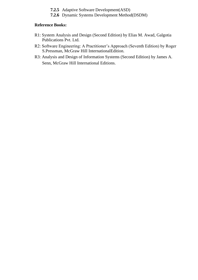- **7.2.5** Adaptive Software Development(ASD)
- **7.2.6** Dynamic Systems Development Method(DSDM)

#### **Reference Books:**

- R1: System Analysis and Design (Second Edition) by Elias M. Awad, Galgotia Publications Pvt. Ltd.
- R2: Software Engineering: A Practitioner's Approach (Seventh Edition) by Roger S.Pressman, McGraw Hill InternationalEdition.
- R3: Analysis and Design of Information Systems (Second Edition) by James A. Senn, McGraw Hill International Editions.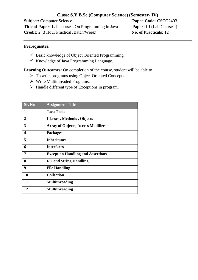#### **Class: S.Y.B.Sc.(Computer Science) (Semester- IV)**

**Subject:** Computer Science **Paper Code:** CSCO2403 **Title of Paper:** Lab course-I On Programming in Java **Paper:** III (Lab Course-I) **Credit:** 2 (3 Hour Practical /Batch/Week) **No. of Practicals:** 12

#### **Prerequisites:**

- $\checkmark$  Basic knowledge of Object Oriented Programming.
- $\checkmark$  Knowledge of Java Programming Language.

**Learning Outcomes:** On completion of the course, student will be able to

- ➢ To write programs using Object Oriented Concepts
- ➢ Write Multithreaded Programs.
- ➢ Handle different type of Exceptions in program.

| <b>Sr. No</b>  | <b>Assignment Title</b>                   |
|----------------|-------------------------------------------|
| $\mathbf{1}$   | <b>Java Tools</b>                         |
| $\overline{2}$ | <b>Classes</b> , Methods, Objects         |
| 3              | <b>Array of Objects, Access Modifiers</b> |
| 4              | <b>Packages</b>                           |
| 5              | <b>Inheritance</b>                        |
| 6              | <b>Interfaces</b>                         |
| 7              | <b>Exception Handling and Assertions</b>  |
| 8              | I/O and String Handling                   |
| 9              | <b>File Handling</b>                      |
| 10             | <b>Collection</b>                         |
| 11             | <b>Multithreading</b>                     |
| 12             | <b>Multithreading</b>                     |